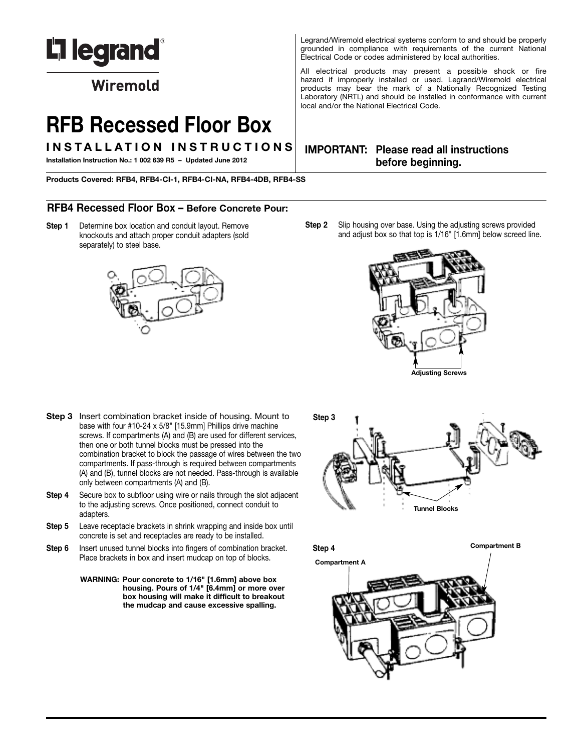

Wiremold

# **RFB Recessed Floor Box**

**I N S T A L L A T I O N I N S T R U C T I O N S**

**Installation Instruction No.: 1 002 639 R5 – Updated June 2012**

**Products Covered: RFB4, RFB4-CI-1, RFB4-CI-NA, RFB4-4DB, RFB4-SS**

# **RFB4 Recessed Floor Box – Before Concrete Pour:**

**Step 1** Determine box location and conduit layout. Remove knockouts and attach proper conduit adapters (sold separately) to steel base.



Legrand/Wiremold electrical systems conform to and should be properly grounded in compliance with requirements of the current National Electrical Code or codes administered by local authorities.

All electrical products may present a possible shock or fire hazard if improperly installed or used. Legrand/Wiremold electrical products may bear the mark of a Nationally Recognized Testing Laboratory (NRTL) and should be installed in conformance with current local and/or the National Electrical Code.

# **IMPORTANT: Please read all instructions before beginning.**

**Step 2** Slip housing over base. Using the adjusting screws provided and adjust box so that top is 1/16" [1.6mm] below screed line.



- **Step 3** Insert combination bracket inside of housing. Mount to base with four #10-24 x 5/8" [15.9mm] Phillips drive machine screws. If compartments (A) and (B) are used for different services, then one or both tunnel blocks must be pressed into the combination bracket to block the passage of wires between the two compartments. If pass-through is required between compartments (A) and (B), tunnel blocks are not needed. Pass-through is available only between compartments (A) and (B).
- **Step 4** Secure box to subfloor using wire or nails through the slot adjacent to the adjusting screws. Once positioned, connect conduit to adapters.
- **Step 5** Leave receptacle brackets in shrink wrapping and inside box until concrete is set and receptacles are ready to be installed.
- **Step 6** Insert unused tunnel blocks into fingers of combination bracket. Place brackets in box and insert mudcap on top of blocks.
	- **WARNING: Pour concrete to 1/16" [1.6mm] above box housing. Pours of 1/4" [6.4mm] or more over box housing will make it difficult to breakout the mudcap and cause excessive spalling.**



**Compartment <sup>B</sup> Step 4**

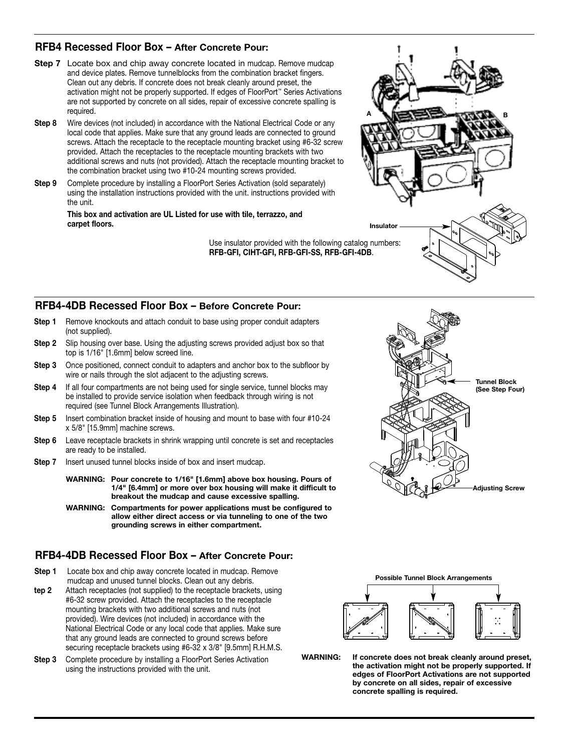# **RFB4 Recessed Floor Box – After Concrete Pour:**

- **Step 7** Locate box and chip away concrete located in mudcap. Remove mudcap and device plates. Remove tunnelblocks from the combination bracket fingers. Clean out any debris. If concrete does not break cleanly around preset, the activation might not be properly supported. If edges of FloorPort ™ Series Activations are not supported by concrete on all sides, repair of excessive concrete spalling is required.
- **Step 8** Wire devices (not included) in accordance with the National Electrical Code or any local code that applies. Make sure that any ground leads are connected to ground screws. Attach the receptacle to the receptacle mounting bracket using #6-32 screw provided. Attach the receptacles to the receptacle mounting brackets with two additional screws and nuts (not provided). Attach the receptacle mounting bracket to the combination bracket using two #10-24 mounting screws provided.
- **Step 9** Complete procedure by installing a FloorPort Series Activation (sold separately) using the installation instructions provided with the unit. instructions provided with the unit.

#### **This box and activation are UL Listed for use with tile, terrazzo, and carpet floors.**

Use insulator provided with the following catalog numbers: **RFB-GFI, CIHT-GFI, RFB-GFI-SS, RFB-GFI-4DB**.



- **Step 1** Remove knockouts and attach conduit to base using proper conduit adapters (not supplied).
- **Step 2** Slip housing over base. Using the adjusting screws provided adjust box so that top is 1/16" [1.6mm] below screed line.
- **Step 3** Once positioned, connect conduit to adapters and anchor box to the subfloor by wire or nails through the slot adjacent to the adjusting screws.
- **Step 4** If all four compartments are not being used for single service, tunnel blocks may be installed to provide service isolation when feedback through wiring is not required (see Tunnel Block Arrangements Illustration).
- **Step 5** Insert combination bracket inside of housing and mount to base with four #10-24 x 5/8" [15.9mm] machine screws.
- **Step 6** Leave receptacle brackets in shrink wrapping until concrete is set and receptacles are ready to be installed.
- **Step 7** Insert unused tunnel blocks inside of box and insert mudcap.
	- **WARNING: Pour concrete to 1/16" [1.6mm] above box housing. Pours of 1/4" [6.4mm] or more over box housing will make it difficult to breakout the mudcap and cause excessive spalling.**
	- **WARNING: Compartments for power applications must be configured to allow either direct access or via tunneling to one of the two grounding screws in either compartment.**

# **RFB4-4DB Recessed Floor Box – After Concrete Pour:**

- **Step 1** Locate box and chip away concrete located in mudcap. Remove mudcap and unused tunnel blocks. Clean out any debris.
- **tep 2** Attach receptacles (not supplied) to the receptacle brackets, using #6-32 screw provided. Attach the receptacles to the receptacle mounting brackets with two additional screws and nuts (not provided). Wire devices (not included) in accordance with the National Electrical Code or any local code that applies. Make sure that any ground leads are connected to ground screws before securing receptacle brackets using #6-32 x 3/8" [9.5mm] R.H.M.S.
- **Step 3** Complete procedure by installing a FloorPort Series Activation using the instructions provided with the unit.









**WARNING: If concrete does not break cleanly around preset, the activation might not be properly supported. If edges of FloorPort Activations are not supported by concrete on all sides, repair of excessive concrete spalling is required.**

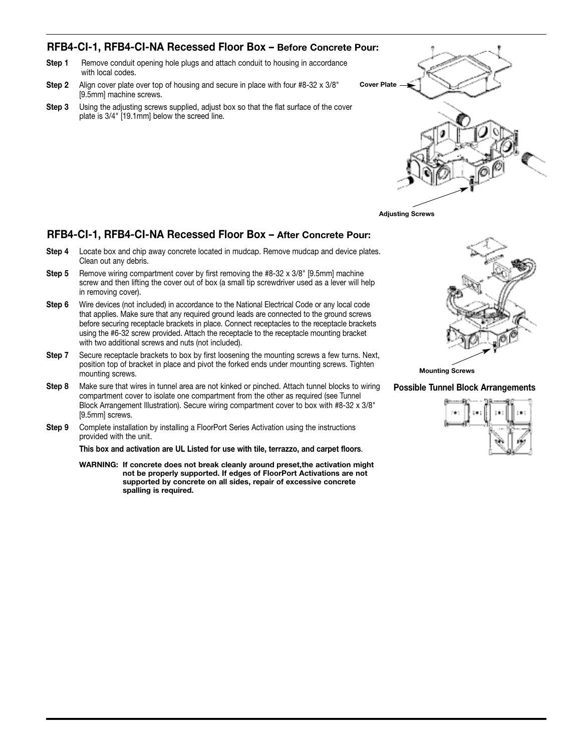# **RFB4-CI-1, RFB4-CI-NA Recessed Floor Box – Before Concrete Pour:**

- **Step 1** Remove conduit opening hole plugs and attach conduit to housing in accordance with local codes.
- **Step 2** Align cover plate over top of housing and secure in place with four #8-32 x 3/8" [9.5mm] machine screws.
- **Step 3** Using the adjusting screws supplied, adjust box so that the flat surface of the cover plate is 3/4" [19.1mm] below the screed line.





### **RFB4-CI-1, RFB4-CI-NA Recessed Floor Box – After Concrete Pour:**

- **Step 4** Locate box and chip away concrete located in mudcap. Remove mudcap and device plates. Clean out any debris.
- **Step 5** Remove wiring compartment cover by first removing the #8-32 x 3/8" [9.5mm] machine screw and then lifting the cover out of box (a small tip screwdriver used as a lever will help in removing cover).
- **Step 6** Wire devices (not included) in accordance to the National Electrical Code or any local code that applies. Make sure that any required ground leads are connected to the ground screws before securing receptacle brackets in place. Connect receptacles to the receptacle brackets using the #6-32 screw provided. Attach the receptacle to the receptacle mounting bracket with two additional screws and nuts (not included).
- **Step 7** Secure receptacle brackets to box by first loosening the mounting screws a few turns. Next, position top of bracket in place and pivot the forked ends under mounting screws. Tighten mounting screws.
- **Step 8** Make sure that wires in tunnel area are not kinked or pinched. Attach tunnel blocks to wiring compartment cover to isolate one compartment from the other as required (see Tunnel Block Arrangement Illustration). Secure wiring compartment cover to box with #8-32 x 3/8" [9.5mm] screws.
- **Step 9** Complete installation by installing a FloorPort Series Activation using the instructions provided with the unit.

**This box and activation are UL Listed for use with tile, terrazzo, and carpet floors**.

**WARNING: If concrete does not break cleanly around preset,the activation might not be properly supported. If edges of FloorPort Activations are not supported by concrete on all sides, repair of excessive concrete spalling is required.**



**Mounting Screws**

**Possible Tunnel Block Arrangements**